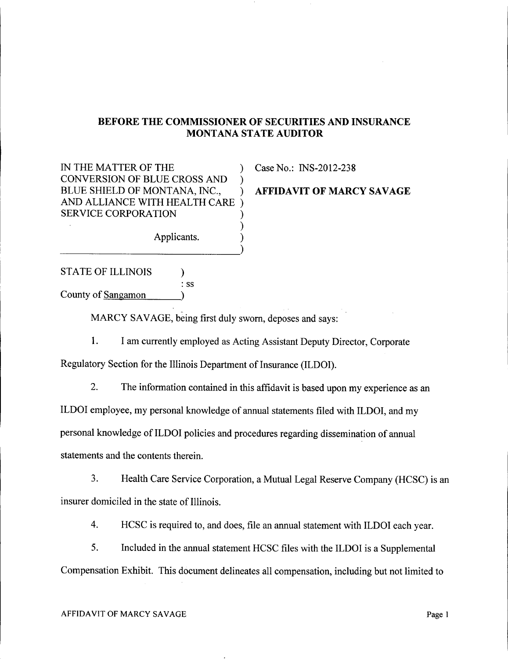## BEFORE THE COMMISSIONER OF SECURITIES AND INSURANCE MONTANA STATE AUDITOR

IN THE MATTER OF THE  $\qquad \qquad$  ) Case No.: INS-2012-238 CONVERSION OF BLUE CROSS AND ) BLUE SHIELD OF MONTANA, INC., FRIEDAVIT OF MARCY SAVAGE AND ALLIANCE WITH HEALTH CARE ) SERVICE CORPORATION

Applicants. )

STATE OF ILLINOIS  $\qquad$ : ss

County of Sangamon )

----------)

MARCY SAVAGE, being first duly sworn, deposes and says:

1. I am currently employed as Acting Assistant Deputy Director, Corporate

)

Regulatory Section for the Illinois Department of Insurance (ILDOI).

2. The information contained in this affidavit is based upon my experience as an

ILDOI employee, my personal knowledge of annual statements filed with ILDOI, and my

personal knowledge of ILDOI policies and procedures regarding dissemination of annual

statements and the contents therein.

3. Health Care Service Corporation, a Mutual Legal Reserve Company (HCSC) is an insurer domiciled in the state of Illinois.

4. HCSC is required to, and does, file an annual statement with ILDOI each year.

5. Included in the annual statement HCSC files with the ILDOI is a Supplemental Compensation Exhibit. This document delineates all compensation, including but not limited to